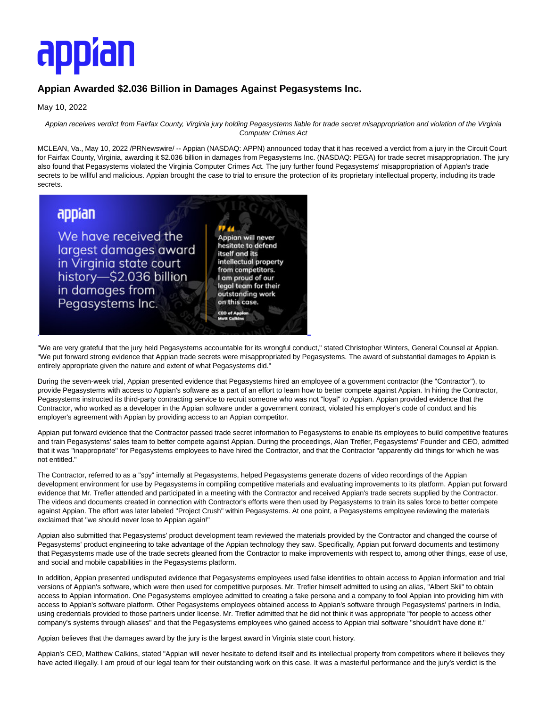# appïan

### **Appian Awarded \$2.036 Billion in Damages Against Pegasystems Inc.**

May 10, 2022

Appian receives verdict from Fairfax County, Virginia jury holding Pegasystems liable for trade secret misappropriation and violation of the Virginia Computer Crimes Act

MCLEAN, Va., May 10, 2022 /PRNewswire/ -- Appian (NASDAQ: APPN) announced today that it has received a verdict from a jury in the Circuit Court for Fairfax County, Virginia, awarding it \$2.036 billion in damages from Pegasystems Inc. (NASDAQ: PEGA) for trade secret misappropriation. The jury also found that Pegasystems violated the Virginia Computer Crimes Act. The jury further found Pegasystems' misappropriation of Appian's trade secrets to be willful and malicious. Appian brought the case to trial to ensure the protection of its proprietary intellectual property, including its trade secrets.

## appian

We have received the largest damages award in Virginia state court history-\$2.036 billion in damages from Pegasystems Inc.

Appian will never hesitate to defend itself and its intellectual property from competitors. I am proud of our legal team for their outstanding work on this case. CEO of App

"We are very grateful that the jury held Pegasystems accountable for its wrongful conduct," stated Christopher Winters, General Counsel at Appian. "We put forward strong evidence that Appian trade secrets were misappropriated by Pegasystems. The award of substantial damages to Appian is entirely appropriate given the nature and extent of what Pegasystems did."

L

During the seven-week trial, Appian presented evidence that Pegasystems hired an employee of a government contractor (the "Contractor"), to provide Pegasystems with access to Appian's software as a part of an effort to learn how to better compete against Appian. In hiring the Contractor, Pegasystems instructed its third-party contracting service to recruit someone who was not "loyal" to Appian. Appian provided evidence that the Contractor, who worked as a developer in the Appian software under a government contract, violated his employer's code of conduct and his employer's agreement with Appian by providing access to an Appian competitor.

Appian put forward evidence that the Contractor passed trade secret information to Pegasystems to enable its employees to build competitive features and train Pegasystems' sales team to better compete against Appian. During the proceedings, Alan Trefler, Pegasystems' Founder and CEO, admitted that it was "inappropriate'' for Pegasystems employees to have hired the Contractor, and that the Contractor "apparently did things for which he was not entitled."

The Contractor, referred to as a "spy" internally at Pegasystems, helped Pegasystems generate dozens of video recordings of the Appian development environment for use by Pegasystems in compiling competitive materials and evaluating improvements to its platform. Appian put forward evidence that Mr. Trefler attended and participated in a meeting with the Contractor and received Appian's trade secrets supplied by the Contractor. The videos and documents created in connection with Contractor's efforts were then used by Pegasystems to train its sales force to better compete against Appian. The effort was later labeled "Project Crush" within Pegasystems. At one point, a Pegasystems employee reviewing the materials exclaimed that "we should never lose to Appian again!"

Appian also submitted that Pegasystems' product development team reviewed the materials provided by the Contractor and changed the course of Pegasystems' product engineering to take advantage of the Appian technology they saw. Specifically, Appian put forward documents and testimony that Pegasystems made use of the trade secrets gleaned from the Contractor to make improvements with respect to, among other things, ease of use, and social and mobile capabilities in the Pegasystems platform.

In addition, Appian presented undisputed evidence that Pegasystems employees used false identities to obtain access to Appian information and trial versions of Appian's software, which were then used for competitive purposes. Mr. Trefler himself admitted to using an alias, "Albert Skii" to obtain access to Appian information. One Pegasystems employee admitted to creating a fake persona and a company to fool Appian into providing him with access to Appian's software platform. Other Pegasystems employees obtained access to Appian's software through Pegasystems' partners in India, using credentials provided to those partners under license. Mr. Trefler admitted that he did not think it was appropriate "for people to access other company's systems through aliases" and that the Pegasystems employees who gained access to Appian trial software "shouldn't have done it."

Appian believes that the damages award by the jury is the largest award in Virginia state court history.

Appian's CEO, Matthew Calkins, stated "Appian will never hesitate to defend itself and its intellectual property from competitors where it believes they have acted illegally. I am proud of our legal team for their outstanding work on this case. It was a masterful performance and the jury's verdict is the